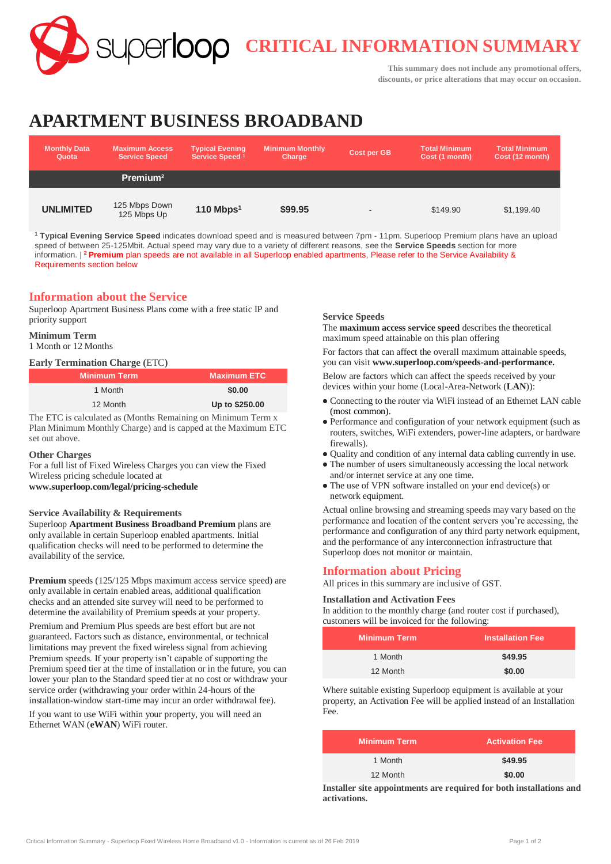**CRITICAL INFORMATION SUMMARY**

**This summary does not include any promotional offers, discounts, or price alterations that may occur on occasion.**

# **APARTMENT BUSINESS BROADBAND**

| <b>Monthly Data</b><br>Quota | <b>Maximum Access</b><br><b>Service Speed</b> | <b>Typical Evening</b><br>Service Speed <sup>1</sup> | <b>Minimum Monthly</b><br>Charge | Cost per GB | <b>Total Minimum</b><br>Cost (1 month) | <b>Total Minimum</b><br>Cost (12 month) |
|------------------------------|-----------------------------------------------|------------------------------------------------------|----------------------------------|-------------|----------------------------------------|-----------------------------------------|
|                              | Premium <sup>2</sup>                          |                                                      |                                  |             |                                        |                                         |
| <b>UNLIMITED</b>             | 125 Mbps Down<br>125 Mbps Up                  | 110 Mbps $1$                                         | \$99.95                          | -           | \$149.90                               | \$1,199.40                              |

**<sup>1</sup> Typical Evening Service Speed** indicates download speed and is measured between 7pm - 11pm. Superloop Premium plans have an upload speed of between 25-125Mbit. Actual speed may vary due to a variety of different reasons, see the **Service Speeds** section for more information. | **<sup>2</sup>Premium** plan speeds are not available in all Superloop enabled apartments, Please refer to the Service Availability & Requirements section below

## **Information about the Service**

Superloop Apartment Business Plans come with a free static IP and priority support

## **Minimum Term**

1 Month or 12 Months

## **Early Termination Charge (**ETC**)**

| <b>Minimum Term</b> | <b>Maximum ETC</b> |
|---------------------|--------------------|
| 1 Month             | \$0.00             |
| 12 Month            | Up to \$250.00     |

The ETC is calculated as (Months Remaining on Minimum Term x Plan Minimum Monthly Charge) and is capped at the Maximum ETC set out above.

## **Other Charges**

For a full list of Fixed Wireless Charges you can view the Fixed Wireless pricing schedule located at **[www.superloop.com/legal/pricing-schedule](https://www.superloop.com/legal/pricing-schedule.html)**

## **Service Availability & Requirements**

Superloop **Apartment Business Broadband Premium** plans are only available in certain Superloop enabled apartments. Initial qualification checks will need to be performed to determine the availability of the service.

**Premium** speeds (125/125 Mbps maximum access service speed) are only available in certain enabled areas, additional qualification checks and an attended site survey will need to be performed to determine the availability of Premium speeds at your property.

Premium and Premium Plus speeds are best effort but are not guaranteed. Factors such as distance, environmental, or technical limitations may prevent the fixed wireless signal from achieving Premium speeds. If your property isn't capable of supporting the Premium speed tier at the time of installation or in the future, you can lower your plan to the Standard speed tier at no cost or withdraw your service order (withdrawing your order within 24-hours of the installation-window start-time may incur an order withdrawal fee).

If you want to use WiFi within your property, you will need an Ethernet WAN (**eWAN**) WiFi router.

## **Service Speeds**

The **maximum access service speed** describes the theoretical maximum speed attainable on this plan offering

For factors that can affect the overall maximum attainable speeds, you can visit **[www.superloop.com/speeds-and-performance.](https://www.superloop.com/speeds-and-performance.html)**

Below are factors which can affect the speeds received by your devices within your home (Local-Area-Network (**LAN**)):

- Connecting to the router via WiFi instead of an Ethernet LAN cable (most common).
- Performance and configuration of your network equipment (such as routers, switches, WiFi extenders, power-line adapters, or hardware firewalls).
- Quality and condition of any internal data cabling currently in use.
- The number of users simultaneously accessing the local network and/or internet service at any one time.
- The use of VPN software installed on your end device(s) or network equipment.

Actual online browsing and streaming speeds may vary based on the performance and location of the content servers you're accessing, the performance and configuration of any third party network equipment, and the performance of any interconnection infrastructure that Superloop does not monitor or maintain.

## **Information about Pricing**

All prices in this summary are inclusive of GST.

## **Installation and Activation Fees**

In addition to the monthly charge (and router cost if purchased), customers will be invoiced for the following:

| <b>Minimum Term</b> | <b>Installation Fee</b> |
|---------------------|-------------------------|
| 1 Month             | \$49.95                 |
| 12 Month            | \$0.00                  |

Where suitable existing Superloop equipment is available at your property, an Activation Fee will be applied instead of an Installation Fee.

| <b>Minimum Term</b> | <b>Activation Fee</b> |
|---------------------|-----------------------|
| 1 Month             | \$49.95               |
| 12 Month            | \$0.00                |

**Installer site appointments are required for both installations and activations.**